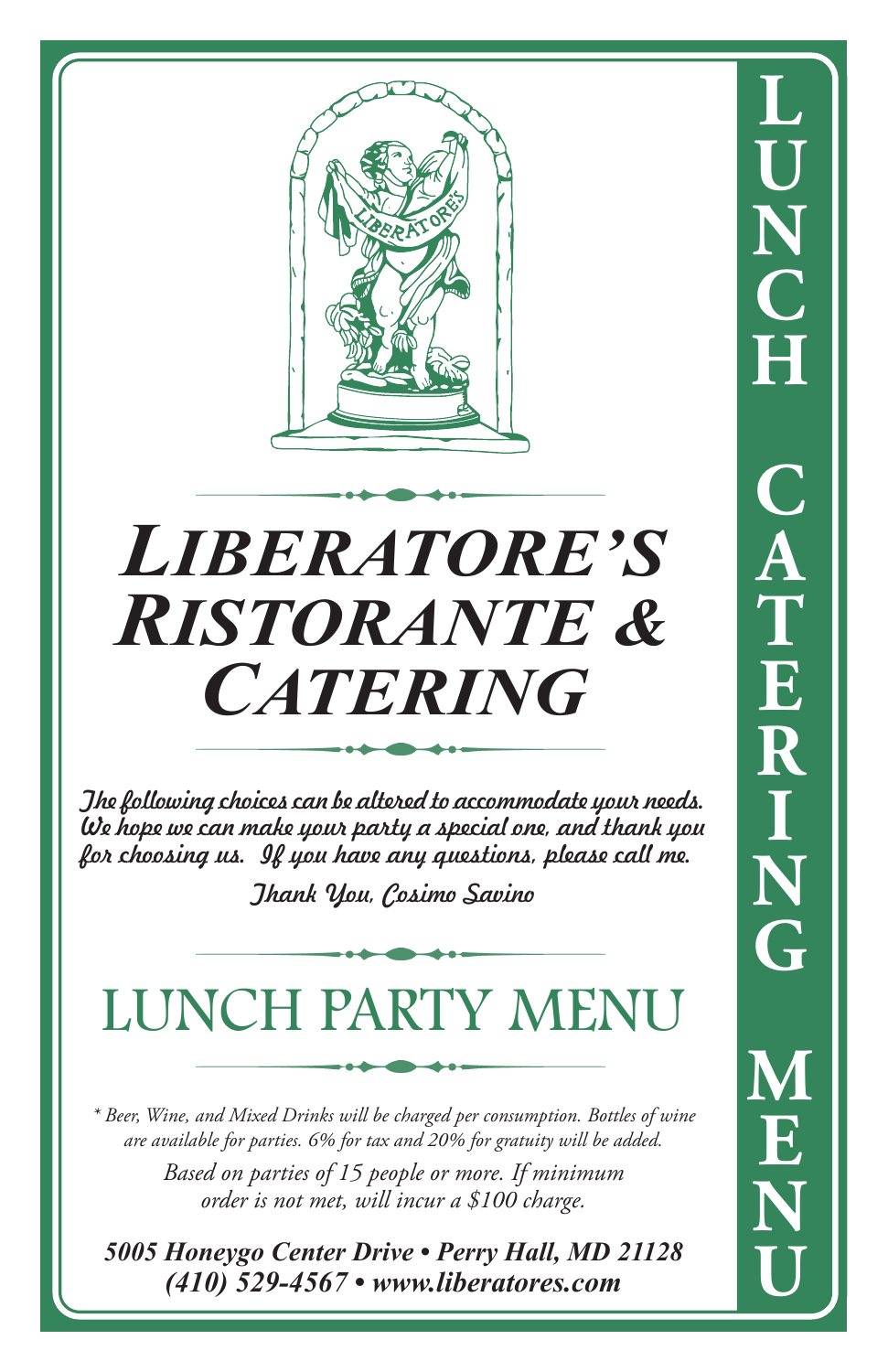

# *LIBERATORE'S RISTORANTE & CATERING*

The following choices can be altered to accommodate your needs. We hope we can make your party a special one, and thank you for choosing us. If you have any questions, please call me.

Thank You, Cosimo Savino

### LUNCH PARTY MENU

*\* Beer, Wine, and Mixed Drinks will be charged per consumption. Bottles of wine are available for parties. 6% for tax and 20% for gratuity will be added.*

> *Based on parties of 15 people or more. If minimum order is not met, will incur a \$100 charge.*

*5005 Honeygo Center Drive • Perry Hall, MD 21128 (410) 529-4567 • www.liberatores.com*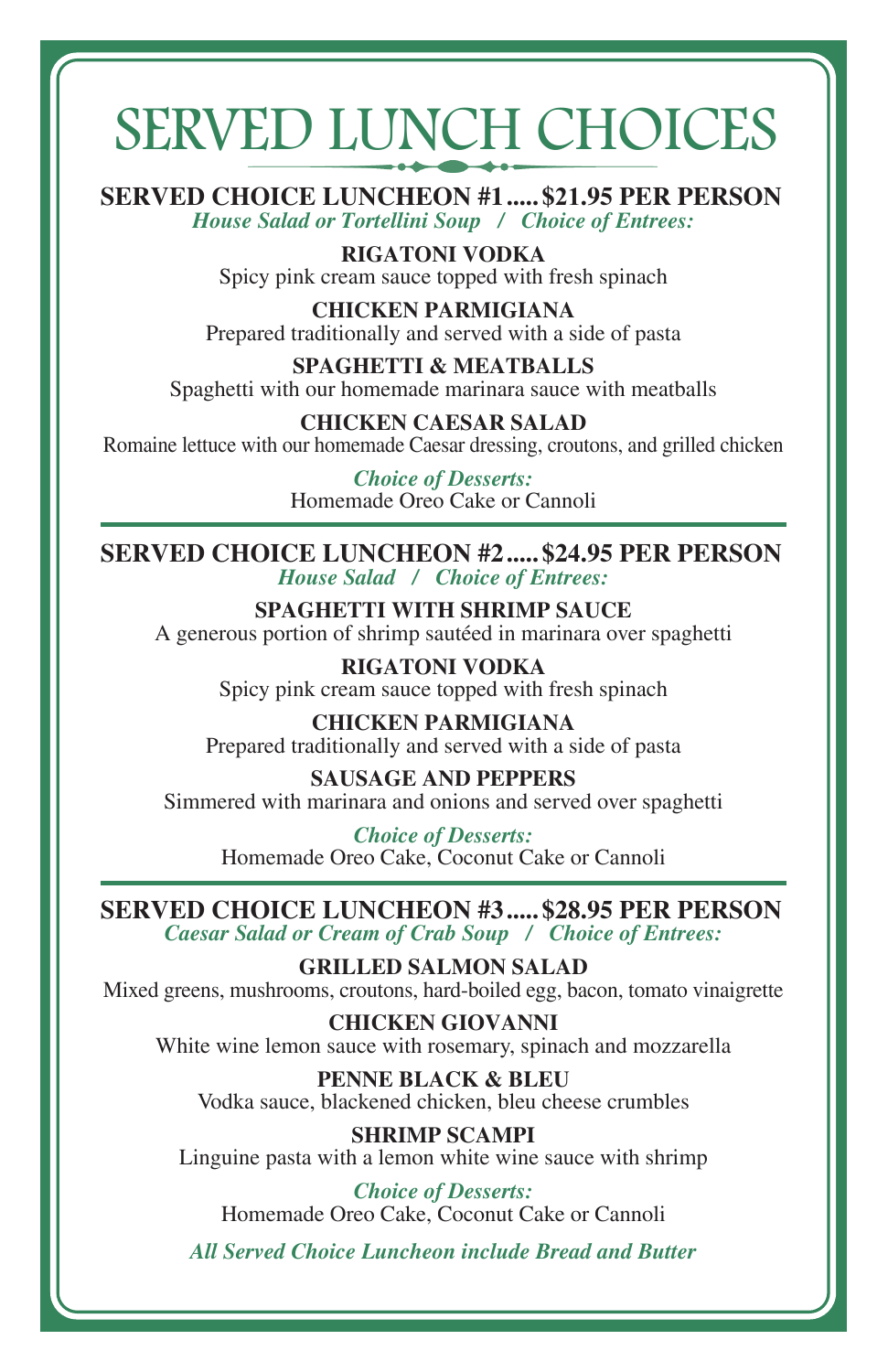## SERVED LUNCH CHOICES

**SERVED CHOICE LUNCHEON #1 ..... \$21.95 PER PERSON** *House Salad or Tortellini Soup / Choice of Entrees:*

> **RIGATONI VODKA** Spicy pink cream sauce topped with fresh spinach

**CHICKEN PARMIGIANA** Prepared traditionally and served with a side of pasta

**SPAGHETTI & MEATBALLS** Spaghetti with our homemade marinara sauce with meatballs

**CHICKEN CAESAR SALAD** Romaine lettuce with our homemade Caesar dressing, croutons, and grilled chicken

> *Choice of Desserts:* Homemade Oreo Cake or Cannoli

**SERVED CHOICE LUNCHEON #2 ..... \$24.95 PER PERSON** *House Salad / Choice of Entrees:*

**SPAGHETTI WITH SHRIMP SAUCE** A generous portion of shrimp sautéed in marinara over spaghetti

> **RIGATONI VODKA** Spicy pink cream sauce topped with fresh spinach

**CHICKEN PARMIGIANA** Prepared traditionally and served with a side of pasta

**SAUSAGE AND PEPPERS** Simmered with marinara and onions and served over spaghetti

*Choice of Desserts:* Homemade Oreo Cake, Coconut Cake or Cannoli

**SERVED CHOICE LUNCHEON #3 ..... \$28.95 PER PERSON**

*Caesar Salad or Cream of Crab Soup / Choice of Entrees:*

**GRILLED SALMON SALAD** Mixed greens, mushrooms, croutons, hard-boiled egg, bacon, tomato vinaigrette

**CHICKEN GIOVANNI** White wine lemon sauce with rosemary, spinach and mozzarella

**PENNE BLACK & BLEU** Vodka sauce, blackened chicken, bleu cheese crumbles

**SHRIMP SCAMPI** Linguine pasta with a lemon white wine sauce with shrimp

*Choice of Desserts:* Homemade Oreo Cake, Coconut Cake or Cannoli

*All Served Choice Luncheon include Bread and Butter*